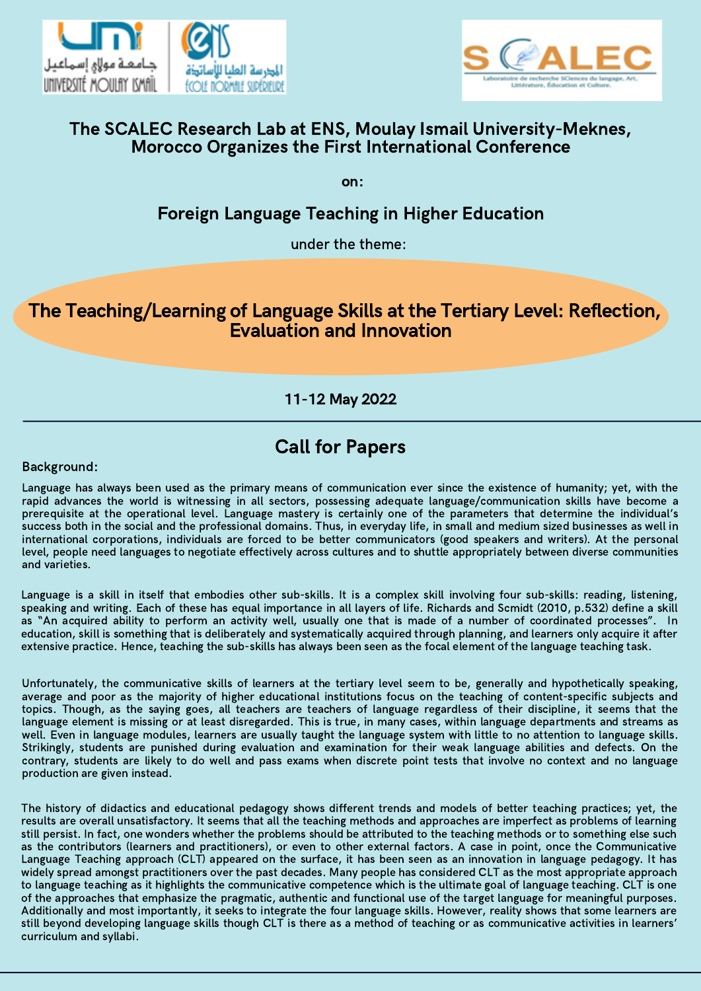



# The SCALEC Research Lab at ENS, Moulay Ismail University-Meknes, Morocco Organizes the First International Conference

on:

# Foreign Language Teaching in Higher Education

under the theme:

# The Teaching/Learning of Language Skills at the Tertiary Level: Reflection, Evaluation and Innovation

11-12 May 2022

## Background:

Language has always been used as the primary means of communication ever since the existence of humanity; yet, with the rapid advances the world is witnessing in all sectors, possessing adequate language/communication skills have become a prerequisite at the operational level. Language mastery is certainly one of the parameters that determine the individual's success both in the social and the professional domains. Thus, in everyday life, in small and medium sized businesses as well in international corporations, individuals are forced to be better communicators (good speakers and writers). At the personal level, people need languages to negotiate effectively across cultures and to shuttle appropriately between diverse communities and varieties.

Language is a skill in itself that embodies other sub-skills. It is a complex skill involving four sub-skills: reading, listening, speaking and writing. Each of these has equal importance in all layers of life. Richards and Scmidt (2010, p.532) define a skill as "An acquired ability to perform an activity well, usually one that is made of a number of coordinated processes". In education, skill is something that is deliberately and systematically acquired through planning, and learners only acquire it after extensive practice. Hence, teaching the sub-skills has always been seen as the focal element of the language teaching task.

Unfortunately, the communicative skills of learners at the tertiary level seem to be, generally and hypothetically speaking, average and poor as the majority of higher educational institutions focus on the teaching of content-specific subjects and topics. Though, as the saying goes, all teachers are teachers of language regardless of their discipline, it seems that the language element is missing or at least disregarded. This is true, in many cases, within language departments and streams as well. Even in language modules, learners are usually taught the language system with little to no attention to language skills. Strikingly, students are punished during evaluation and examination for their weak language abilities and defects. On the contrary, students are likely to do well and pass exams when discrete point tests that involve no context and no language production are given instead.

The history of didactics and educational pedagogy shows different trends and models of better teaching practices; yet, the results are overall unsatisfactory. It seems that all the teaching methods and approaches are imperfect as problems of learning still persist. In fact, one wonders whether the problems should be attributed to the teaching methods or to something else such as the contributors (learners and practitioners), or even to other external factors. A case in point, once the Communicative Language Teaching approach (CLT) appeared on the surface, it has been seen as an innovation in language pedagogy. It has widely spread amongst practitioners over the past decades. Many people has considered CLT as the most appropriate approach to language teaching as it highlights the communicative competence which is the ultimate goal of language teaching. CLT is one of the approaches that emphasize the pragmatic, authentic and functional use of the target language for meaningful purposes. Additionally and most importantly, it seeks to integrate the four language skills. However, reality shows that some learners are still beyond developing language skills though CLT is there as a method of teaching or as communicative activities in learners' curriculum and syllabi.

# Call for Papers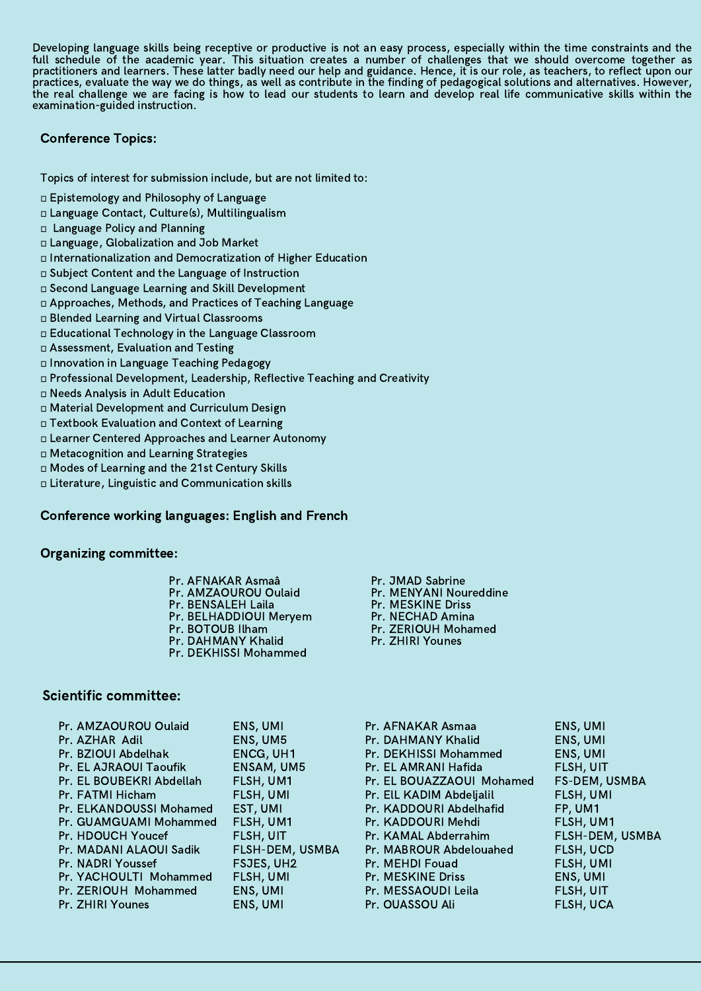Developing language skills being receptive or productive is not an easy process, especially within the time constraints and the full schedule of the academic year. This situation creates a number of challenges that we should overcome together as practitioners and learners. These latter badly need our help and guidance. Hence, it is our role, as teachers, to reflect upon our practices, evaluate the way we do things, as well as contribute in the finding of pedagogical solutions and alternatives. However, the real challenge we are facing is how to lead our students to learn and develop real life communicative skills within the examination-guided instruction.

Topics of interest for submission include, but are not limited to:

- Epistemology and Philosophy of Language
- Language Contact, Culture(s), Multilingualism
- Language Policy and Planning
- Language, Globalization and Job Market
- Internationalization and Democratization of Higher Education
- Subject Content and the Language of Instruction
- Second Language Learning and Skill Development
- Approaches, Methods, and Practices of Teaching Language
- Blended Learning and Virtual Classrooms
- Educational Technology in the Language Classroom
- Assessment, Evaluation and Testing
- Innovation in Language Teaching Pedagogy
- Professional Development, Leadership, Reflective Teaching and Creativity
- Needs Analysis in Adult Education
- Material Development and Curriculum Design
- Textbook Evaluation and Context of Learning
- Learner Centered Approaches and Learner Autonomy
- Metacognition and Learning Strategies
- Modes of Learning and the 21st Century Skills
- Literature, Linguistic and Communication skills

# Conference working languages: English and French

## Organizing committee:

# Scientific committee:

| Pr. AMZAOUROU Oulaid     | ENS, UMI               |
|--------------------------|------------------------|
| Pr. AZHAR Adil           | ENS, UM5               |
| Pr. BZIOUI Abdelhak      | <b>ENCG, UH1</b>       |
| Pr. EL AJRAOUI Taoufik   | <b>ENSAM, UM5</b>      |
| Pr. EL BOUBEKRI Abdellah | FLSH, UM1              |
| Pr. FATMI Hicham         | <b>FLSH, UMI</b>       |
| Pr. ELKANDOUSSI Mohamed  | EST, UMI               |
| Pr. GUAMGUAMI Mohammed   | FLSH, UM1              |
| Pr. HDOUCH Youcef        | FLSH, UIT              |
| Pr. MADANI ALAOUI Sadik  | <b>FLSH-DEM, USMBA</b> |
| Pr. NADRI Youssef        | FSJES, UH2             |
| Pr. YACHOULTI Mohammed   | <b>FLSH, UMI</b>       |
| Pr. ZERIOUH Mohammed     | ENS, UMI               |
| Pr. ZHIRI Younes         | ENS, UMI               |
|                          |                        |

- Pr. AFNAKAR Asmaa Pr. DAHMANY Khalid Pr. DEKHISSI Mohammed Pr. EL AMRANI Hafida Pr. EL BOUAZZAOUI Mohamed Pr. ElL KADIM Abdeljalil Pr. KADDOURI Abdelhafid Pr. KADDOURI Mehdi Pr. KAMAL Abderrahim Pr. MABROUR Abdelouahed Pr. MEHDI Fouad Pr. MESKINE Driss Pr. MESSAOUDI Leila Pr. OUASSOU Ali
- ENS, UMI ENS, UMI ENS, UMI FLSH, UIT FS-DEM, USMBA FLSH, UMI FP, UM1 FLSH, UM1 FLSH-DEM, USMBA FLSH, UCD FLSH, UMI ENS, UMI FLSH, UIT FLSH, UCA

Pr. JMAD Sabrine Pr. MENYANI Noureddine Pr. MESKINE Driss Pr. NECHAD Amina Pr. ZERIOUH Mohamed Pr. ZHIRI Younes

Pr. AFNAKAR Asmaâ Pr. AMZAOUROU Oulaid Pr. BENSALEH Laila Pr. BELHADDIOUI Meryem Pr. BOTOUB Ilham Pr. DAHMANY Khalid Pr. DEKHISSI Mohammed

# Conference Topics: